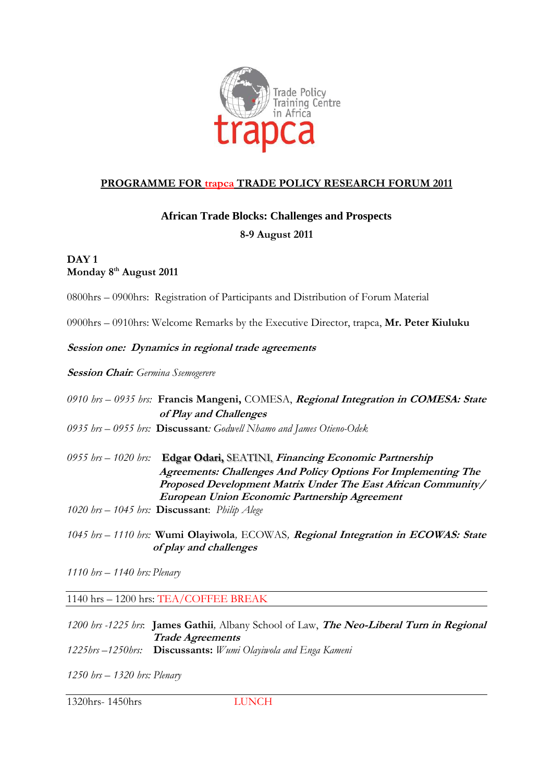

# **PROGRAMME FOR trapca TRADE POLICY RESEARCH FORUM 2011**

# **African Trade Blocks: Challenges and Prospects**

## **8-9 August 2011**

## **DAY 1 Monday 8th August 2011**

0800hrs – 0900hrs: Registration of Participants and Distribution of Forum Material

0900hrs – 0910hrs: Welcome Remarks by the Executive Director, trapca, **Mr. Peter Kiuluku**

**Session one: Dynamics in regional trade agreements**

### **Session Chair***: Germina Ssemogerere*

*0910 hrs – 0935 hrs:* **Francis Mangeni,** COMESA, **Regional Integration in COMESA: State of Play and Challenges**

- *0935 hrs – 0955 hrs:* **Discussant***: Godwell Nhamo and James Otieno-Odek*
- *0955 hrs – 1020 hrs:* **Edgar Odari,** SEATINI, **Financing Economic Partnership Agreements: Challenges And Policy Options For Implementing The Proposed Development Matrix Under The East African Community/ European Union Economic Partnership Agreement**
- *1020 hrs – 1045 hrs:* **Discussant**: *Philip Alege*
- *1045 hrs – 1110 hrs:* **Wumi Olayiwola***,* ECOWAS*,* **Regional Integration in ECOWAS: State of play and challenges**
- *1110 hrs – 1140 hrs: Plenary*

1140 hrs – 1200 hrs: TEA/COFFEE BREAK

*1200 hrs -1225 hrs*: **James Gathii***,* Albany School of Law, **The Neo-Liberal Turn in Regional Trade Agreements**

- *1225hrs –1250hrs:* **Discussants:** *Wumi Olayiwola and Enga Kameni*
- *1250 hrs – 1320 hrs: Plenary*

1320hrs- 1450hrs LUNCH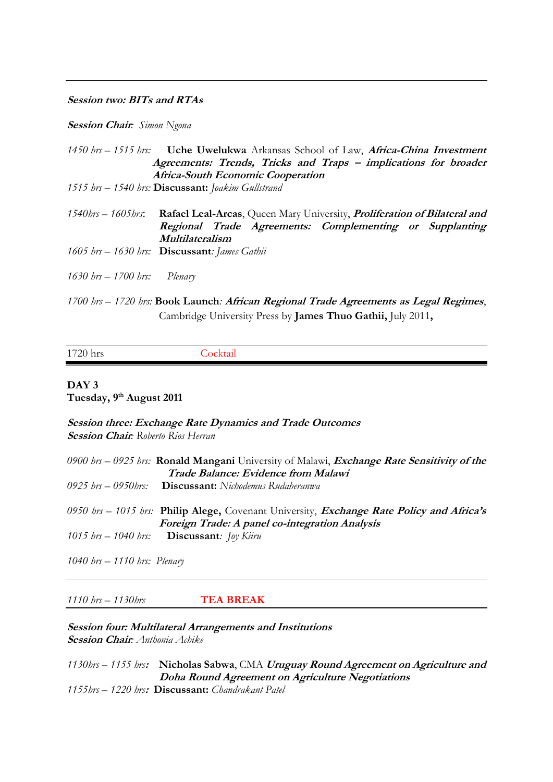#### **Session two: BITs and RTAs**

#### **Session Chair***: Simon Ngona*

|                                  | 1450 brs – 1515 brs: <b>Uche Uwelukwa</b> Arkansas School of Law, <b>Africa-China Investment</b>                                                          |
|----------------------------------|-----------------------------------------------------------------------------------------------------------------------------------------------------------|
|                                  | Agreements: Trends, Tricks and Traps - implications for broader                                                                                           |
|                                  | <b>Africa-South Economic Cooperation</b>                                                                                                                  |
|                                  | 1515 hrs - 1540 hrs: Discussant: Joakim Gullstrand                                                                                                        |
|                                  |                                                                                                                                                           |
| 1540hrs — 1605hrs:               | <b>Rafael Leal-Arcas, Queen Mary University, Proliferation of Bilateral and</b>                                                                           |
|                                  | Regional Trade Agreements: Complementing or Supplanting                                                                                                   |
|                                  | Multilateralism                                                                                                                                           |
|                                  | 1605 hrs $-$ 1630 hrs: <b>Discussant</b> : James Gathii                                                                                                   |
|                                  |                                                                                                                                                           |
| $1630$ brs $- 1700$ brs: Plenary |                                                                                                                                                           |
|                                  |                                                                                                                                                           |
|                                  | $1700$ km $-1720$ km $\bf{p}_{\rm{col}}$ , I annaly $\bf{A}$ frigan $\bf{p}_{\rm{con}}$ and $\bf{T}_{\rm{mod}}$ a homoments so I soul $\bf{p}_{\rm{con}}$ |

*1700 hrs – 1720 hrs:* **Book Launch***:* **African Regional Trade Agreements as Legal Regimes**, Cambridge University Press by **James Thuo Gathii,** July 2011**,**

| 1720 hrs |  |
|----------|--|
|          |  |

### **DAY 3 Tuesday, 9 th August 2011**

**Session three: Exchange Rate Dynamics and Trade Outcomes Session Chair***: Roberto Rios Herran*

| 0900 brs – 0925 brs: <b>Ronald Mangani</b> University of Malawi, <i>Exchange Rate Sensitivity of the</i> |
|----------------------------------------------------------------------------------------------------------|
| Trade Balance: Evidence from Malawi                                                                      |
| $0925$ hrs $-0950$ hrs: <b>Discussant:</b> Nichodemus Rudaheranwa                                        |
|                                                                                                          |
| 0950 brs – 1015 brs: Philip Alege, Covenant University, <i>Exchange Rate Policy and Africa's</i>         |
| Foreign Trade: A panel co-integration Analysis                                                           |
| 1015 $hrs - 1040$ hrs: <b>Discussant</b> : <i>Joy Kiiru</i>                                              |
|                                                                                                          |

*1040 hrs – 1110 hrs: Plenary*

#### *1110 hrs – 1130hrs* **TEA BREAK**

### **Session four: Multilateral Arrangements and Institutions Session Chair***: Anthonia Achike*

*1130hrs – 1155 hrs***: Nicholas Sabwa**, CMA **Uruguay Round Agreement on Agriculture and Doha Round Agreement on Agriculture Negotiations** *1155hrs – 1220 hrs***: Discussant:** *Chandrakant Patel*